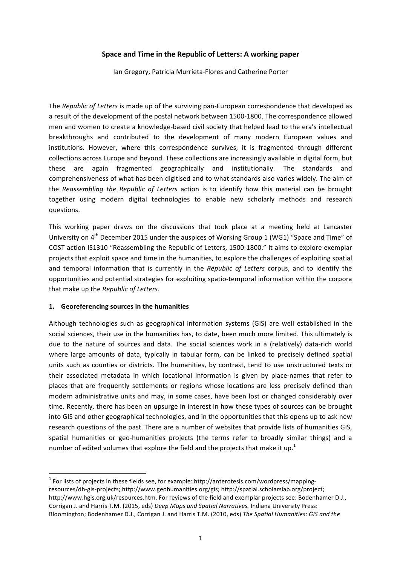# Space and Time in the Republic of Letters: A working paper

lan Gregory, Patricia Murrieta-Flores and Catherine Porter

The *Republic of Letters* is made up of the surviving pan-European correspondence that developed as a result of the development of the postal network between 1500-1800. The correspondence allowed men and women to create a knowledge-based civil society that helped lead to the era's intellectual breakthroughs and contributed to the development of many modern European values and institutions. However, where this correspondence survives, it is fragmented through different collections across Europe and beyond. These collections are increasingly available in digital form, but these are again fragmented geographically and institutionally. The standards and comprehensiveness of what has been digitised and to what standards also varies widely. The aim of the *Reassembling the Republic of Letters* action is to identify how this material can be brought together using modern digital technologies to enable new scholarly methods and research questions. 

This working paper draws on the discussions that took place at a meeting held at Lancaster University on  $4^{th}$  December 2015 under the auspices of Working Group 1 (WG1) "Space and Time" of COST action IS1310 "Reassembling the Republic of Letters, 1500-1800." It aims to explore exemplar projects that exploit space and time in the humanities, to explore the challenges of exploiting spatial and temporal information that is currently in the *Republic of Letters* corpus, and to identify the opportunities and potential strategies for exploiting spatio-temporal information within the corpora that make up the *Republic of Letters*.

### **1. Georeferencing sources in the humanities**

 

Although technologies such as geographical information systems (GIS) are well established in the social sciences, their use in the humanities has, to date, been much more limited. This ultimately is due to the nature of sources and data. The social sciences work in a (relatively) data-rich world where large amounts of data, typically in tabular form, can be linked to precisely defined spatial units such as counties or districts. The humanities, by contrast, tend to use unstructured texts or their associated metadata in which locational information is given by place-names that refer to places that are frequently settlements or regions whose locations are less precisely defined than modern administrative units and may, in some cases, have been lost or changed considerably over time. Recently, there has been an upsurge in interest in how these types of sources can be brought into GIS and other geographical technologies, and in the opportunities that this opens up to ask new research questions of the past. There are a number of websites that provide lists of humanities GIS, spatial humanities or geo-humanities projects (the terms refer to broadly similar things) and a number of edited volumes that explore the field and the projects that make it up.<sup>1</sup>

 $1$  For lists of projects in these fields see, for example: http://anterotesis.com/wordpress/mappingresources/dh-gis-projects; http://www.geohumanities.org/gis; http://spatial.scholarslab.org/project; http://www.hgis.org.uk/resources.htm. For reviews of the field and exemplar projects see: Bodenhamer D.J., Corrigan J. and Harris T.M. (2015, eds) *Deep Maps and Spatial Narratives*. Indiana University Press: Bloomington; Bodenhamer D.J., Corrigan J. and Harris T.M. (2010, eds) The Spatial Humanities: GIS and the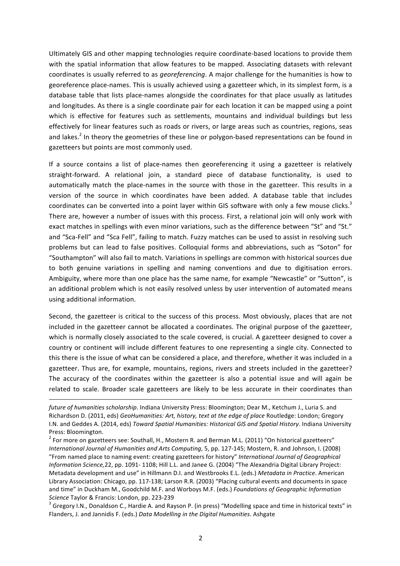Ultimately GIS and other mapping technologies require coordinate-based locations to provide them with the spatial information that allow features to be mapped. Associating datasets with relevant coordinates is usually referred to as *georeferencing*. A major challenge for the humanities is how to georeference place-names. This is usually achieved using a gazetteer which, in its simplest form, is a database table that lists place-names alongside the coordinates for that place usually as latitudes and longitudes. As there is a single coordinate pair for each location it can be mapped using a point which is effective for features such as settlements, mountains and individual buildings but less effectively for linear features such as roads or rivers, or large areas such as countries, regions, seas and lakes.<sup>2</sup> In theory the geometries of these line or polygon-based representations can be found in gazetteers but points are most commonly used.

If a source contains a list of place-names then georeferencing it using a gazetteer is relatively straight-forward. A relational join, a standard piece of database functionality, is used to automatically match the place-names in the source with those in the gazetteer. This results in a version of the source in which coordinates have been added. A database table that includes coordinates can be converted into a point layer within GIS software with only a few mouse clicks.<sup>3</sup> There are, however a number of issues with this process. First, a relational join will only work with exact matches in spellings with even minor variations, such as the difference between "St" and "St." and "Sca-Fell" and "Sca Fell", failing to match. Fuzzy matches can be used to assist in resolving such problems but can lead to false positives. Colloquial forms and abbreviations, such as "Soton" for "Southampton" will also fail to match. Variations in spellings are common with historical sources due to both genuine variations in spelling and naming conventions and due to digitisation errors. Ambiguity, where more than one place has the same name, for example "Newcastle" or "Sutton", is an additional problem which is not easily resolved unless by user intervention of automated means using additional information.

Second, the gazetteer is critical to the success of this process. Most obviously, places that are not included in the gazetteer cannot be allocated a coordinates. The original purpose of the gazetteer, which is normally closely associated to the scale covered, is crucial. A gazetteer designed to cover a country or continent will include different features to one representing a single city. Connected to this there is the issue of what can be considered a place, and therefore, whether it was included in a gazetteer. Thus are, for example, mountains, regions, rivers and streets included in the gazetteer? The accuracy of the coordinates within the gazetteer is also a potential issue and will again be related to scale. Broader scale gazetteers are likely to be less accurate in their coordinates than

<u> 1989 - Andrea Santa Andrea Andrea Andrea Andrea Andrea Andrea Andrea Andrea Andrea Andrea Andrea Andrea Andr</u>

*future of humanities scholarship*. Indiana University Press: Bloomington; Dear M., Ketchum J., Luria S. and Richardson D. (2011, eds) GeoHumanities: Art, history, text at the edge of place Routledge: London; Gregory I.N. and Geddes A. (2014, eds) *Toward Spatial Humanities: Historical GIS and Spatial History*. Indiana University Press: Bloomington.

 $2$  For more on gazetteers see: Southall, H., Mostern R. and Berman M.L. (2011) "On historical gazetteers" *International Journal of Humanities and Arts Computing*, 5, pp. 127-145; Mostern, R. and Johnson, I. (2008) "From named place to naming event: creating gazetteers for history" International Journal of Geographical *Information Science,*22, pp. 1091- 1108; Hill L.L. and Janee G. (2004) "The Alexandria Digital Library Project: Metadata development and use" in Hillmann D.I. and Westbrooks E.L. (eds.) Metadata in Practice. American Library Association: Chicago, pp. 117-138; Larson R.R. (2003) "Placing cultural events and documents in space and time" in Duckham M., Goodchild M.F. and Worboys M.F. (eds.) *Foundations of Geographic Information* 

*Science* Taylor & Francis: London, pp. 223-239<br><sup>3</sup> Gregory I.N., Donaldson C., Hardie A. and Rayson P. (in press) "Modelling space and time in historical texts" in Flanders, J. and Jannidis F. (eds.) Data Modelling in the Digital Humanities. Ashgate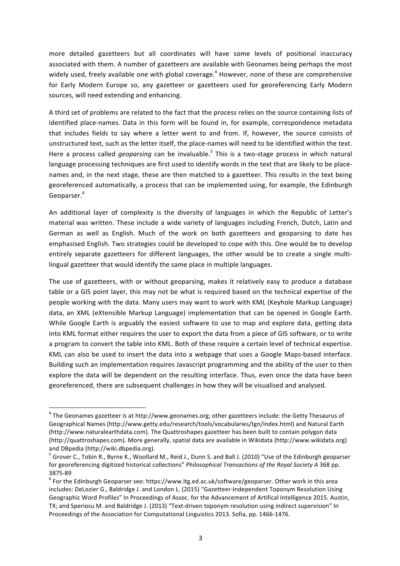more detailed gazetteers but all coordinates will have some levels of positional inaccuracy associated with them. A number of gazetteers are available with Geonames being perhaps the most widely used, freely available one with global coverage.<sup>4</sup> However, none of these are comprehensive for Early Modern Europe so, any gazetteer or gazetteers used for georeferencing Early Modern sources, will need extending and enhancing.

A third set of problems are related to the fact that the process relies on the source containing lists of identified place-names. Data in this form will be found in, for example, correspondence metadata that includes fields to say where a letter went to and from. If, however, the source consists of unstructured text, such as the letter itself, the place-names will need to be identified within the text. Here a process called *geoparsing* can be invaluable.<sup>5</sup> This is a two-stage process in which natural language processing techniques are first used to identify words in the text that are likely to be placenames and, in the next stage, these are then matched to a gazetteer. This results in the text being georeferenced automatically, a process that can be implemented using, for example, the Edinburgh Geoparser. 6

An additional layer of complexity is the diversity of languages in which the Republic of Letter's material was written. These include a wide variety of languages including French, Dutch, Latin and German as well as English. Much of the work on both gazetteers and geoparsing to date has emphasised English. Two strategies could be developed to cope with this. One would be to develop entirely separate gazetteers for different languages, the other would be to create a single multilingual gazetteer that would identify the same place in multiple languages.

The use of gazetteers, with or without geoparsing, makes it relatively easy to produce a database table or a GIS point layer, this may not be what is required based on the technical expertise of the people working with the data. Many users may want to work with KML (Keyhole Markup Language) data, an XML (eXtensible Markup Language) implementation that can be opened in Google Earth. While Google Earth is arguably the easiest software to use to map and explore data, getting data into KML format either requires the user to export the data from a piece of GIS software, or to write a program to convert the table into KML. Both of these require a certain level of technical expertise. KML can also be used to insert the data into a webpage that uses a Google Maps-based interface. Building such an implementation requires Javascript programming and the ability of the user to then explore the data will be dependent on the resulting interface. Thus, even once the data have been georeferenced, there are subsequent challenges in how they will be visualised and analysed.

<u> 1989 - Johann Barn, mars ann an t-Amhain an t-Amhain an t-Amhain an t-Amhain an t-Amhain an t-Amhain an t-Amh</u>

 $4$  The Geonames gazetteer is at http://www.geonames.org; other gazetteers include: the Getty Thesaurus of Geographical Names (http://www.getty.edu/research/tools/vocabularies/tgn/index.html) and Natural Earth (http://www.naturalearthdata.com). The Quattroshapes gazetteer has been built to contain polygon data (http://quattroshapes.com). More generally, spatial data are available in Wikidata (http://www.wikidata.org) and DBpedia (http://wiki.dbpedia.org).<br><sup>5</sup> Grover C., Tobin R., Byrne K., Woollard M., Reid J., Dunn S. and Ball J. (2010) "Use of the Edinburgh geoparser

for georeferencing digitized historical collections" *Philosophical Transactions of the Royal Society A* 368 pp. 3875-89<br>
<sup>6</sup> For the Edinburgh Geoparser see: https://www.ltg.ed.ac.uk/software/geoparser. Other work in this area

includes: DeLozier G., Baldridge J. and London L. (2015) "Gazetteer-Independent Toponym Resolution Using Geographic Word Profiles" In Proceedings of Assoc. for the Advancement of Artifical Intelligence 2015. Austin, TX; and Speriosu M. and Baldridge J. (2013) "Text-driven toponym resolution using indirect supervision" In Proceedings of the Association for Computational Linguistics 2013. Sofia, pp. 1466-1476.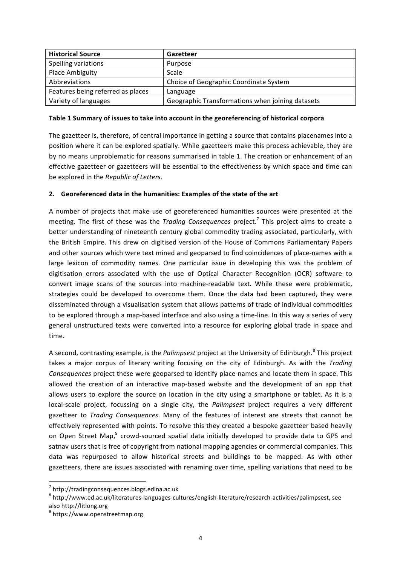| <b>Historical Source</b>          | Gazetteer                                        |
|-----------------------------------|--------------------------------------------------|
| Spelling variations               | Purpose                                          |
| <b>Place Ambiguity</b>            | Scale                                            |
| Abbreviations                     | Choice of Geographic Coordinate System           |
| Features being referred as places | Language                                         |
| Variety of languages              | Geographic Transformations when joining datasets |

### Table 1 Summary of issues to take into account in the georeferencing of historical corpora

The gazetteer is, therefore, of central importance in getting a source that contains placenames into a position where it can be explored spatially. While gazetteers make this process achievable, they are by no means unproblematic for reasons summarised in table 1. The creation or enhancement of an effective gazetteer or gazetteers will be essential to the effectiveness by which space and time can be explored in the *Republic of Letters*.

### 2. Georeferenced data in the humanities: Examples of the state of the art

A number of projects that make use of georeferenced humanities sources were presented at the meeting. The first of these was the *Trading Consequences* project.<sup>7</sup> This project aims to create a better understanding of nineteenth century global commodity trading associated, particularly, with the British Empire. This drew on digitised version of the House of Commons Parliamentary Papers and other sources which were text mined and geoparsed to find coincidences of place-names with a large lexicon of commodity names. One particular issue in developing this was the problem of digitisation errors associated with the use of Optical Character Recognition (OCR) software to convert image scans of the sources into machine-readable text. While these were problematic, strategies could be developed to overcome them. Once the data had been captured, they were disseminated through a visualisation system that allows patterns of trade of individual commodities to be explored through a map-based interface and also using a time-line. In this way a series of very general unstructured texts were converted into a resource for exploring global trade in space and time.

A second, contrasting example, is the *Palimpsest* project at the University of Edinburgh.<sup>8</sup> This project takes a major corpus of literary writing focusing on the city of Edinburgh. As with the Trading *Consequences* project these were geoparsed to identify place-names and locate them in space. This allowed the creation of an interactive map-based website and the development of an app that allows users to explore the source on location in the city using a smartphone or tablet. As it is a local-scale project, focussing on a single city, the *Palimpsest* project requires a very different gazetteer to *Trading Consequences*. Many of the features of interest are streets that cannot be effectively represented with points. To resolve this they created a bespoke gazetteer based heavily on Open Street Map,<sup>9</sup> crowd-sourced spatial data initially developed to provide data to GPS and satnav users that is free of copyright from national mapping agencies or commercial companies. This data was repurposed to allow historical streets and buildings to be mapped. As with other gazetteers, there are issues associated with renaming over time, spelling variations that need to be

 <sup>7</sup> http://tradingconsequences.blogs.edina.ac.uk

 $8$  http://www.ed.ac.uk/literatures-languages-cultures/english-literature/research-activities/palimpsest, see also http://litlong.org

<sup>9</sup> https://www.openstreetmap.org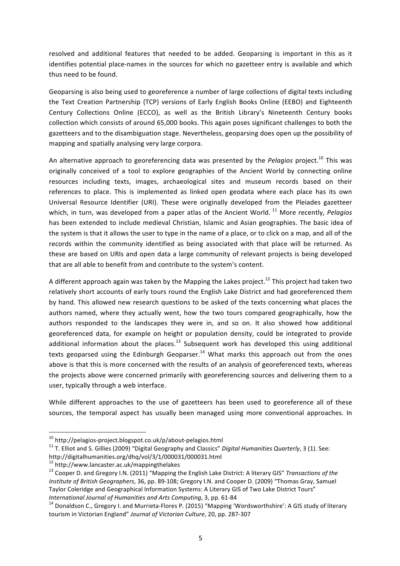resolved and additional features that needed to be added. Geoparsing is important in this as it identifies potential place-names in the sources for which no gazetteer entry is available and which thus need to be found.

Geoparsing is also being used to georeference a number of large collections of digital texts including the Text Creation Partnership (TCP) versions of Early English Books Online (EEBO) and Eighteenth Century Collections Online (ECCO), as well as the British Library's Nineteenth Century books collection which consists of around 65,000 books. This again poses significant challenges to both the gazetteers and to the disambiguation stage. Nevertheless, geoparsing does open up the possibility of mapping and spatially analysing very large corpora.

An alternative approach to georeferencing data was presented by the *Pelggios* project.<sup>10</sup> This was originally conceived of a tool to explore geographies of the Ancient World by connecting online resources including texts, images, archaeological sites and museum records based on their references to place. This is implemented as linked open geodata where each place has its own Universal Resource Identifier (URI). These were originally developed from the Pleiades gazetteer which, in turn, was developed from a paper atlas of the Ancient World.<sup>11</sup> More recently, *Pelagios* has been extended to include medieval Christian, Islamic and Asian geographies. The basic idea of the system is that it allows the user to type in the name of a place, or to click on a map, and all of the records within the community identified as being associated with that place will be returned. As these are based on URIs and open data a large community of relevant projects is being developed that are all able to benefit from and contribute to the system's content.

A different approach again was taken by the Mapping the Lakes project.<sup>12</sup> This project had taken two relatively short accounts of early tours round the English Lake District and had georeferenced them by hand. This allowed new research questions to be asked of the texts concerning what places the authors named, where they actually went, how the two tours compared geographically, how the authors responded to the landscapes they were in, and so on. It also showed how additional georeferenced data, for example on height or population density, could be integrated to provide additional information about the places.<sup>13</sup> Subsequent work has developed this using additional texts geoparsed using the Edinburgh Geoparser.<sup>14</sup> What marks this approach out from the ones above is that this is more concerned with the results of an analysis of georeferenced texts, whereas the projects above were concerned primarily with georeferencing sources and delivering them to a user, typically through a web interface.

While different approaches to the use of gazetteers has been used to georeference all of these sources, the temporal aspect has usually been managed using more conventional approaches. In

<u> 1989 - Johann Barn, mars ann an t-Amhain an t-Amhain an t-Amhain an t-Amhain an t-Amhain an t-Amhain an t-Amh</u>

<sup>&</sup>lt;sup>10</sup> http://pelagios-project.blogspot.co.uk/p/about-pelagios.html<br><sup>11</sup> T. Elliot and S. Gillies (2009) "Digital Geography and Classics" *Digital Humanities Quarterly*, 3 (1). See: http://digitalhumanities.org/dhq/vol/3/1/000031/000031.html<br><sup>12</sup> http://www.lancaster.ac.uk/mappingthelakes<br><sup>13</sup> Cooper D. and Gregory I.N. (2011) "Mapping the English Lake District: A literary GIS" *Transactions of the* 

*Institute of British Geographers*, 36, pp. 89-108; Gregory I.N. and Cooper D. (2009) "Thomas Gray, Samuel Taylor Coleridge and Geographical Information Systems: A Literary GIS of Two Lake District Tours" *International Journal of Humanities and Arts Computing*, 3, pp. 61-84<br><sup>14</sup> Donaldson C., Gregory I. and Murrieta-Flores P. (2015) "Mapping 'Wordsworthshire': A GIS study of literary

tourism in Victorian England" Journal of Victorian Culture, 20, pp. 287-307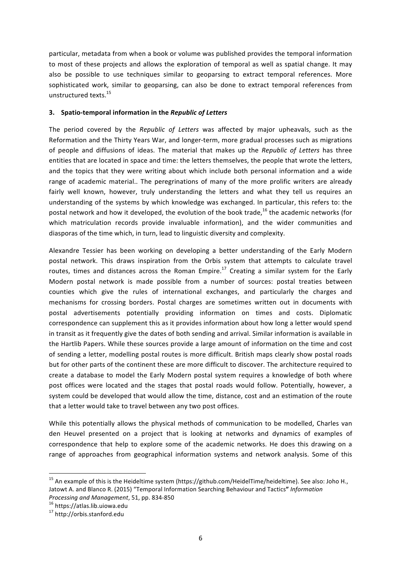particular, metadata from when a book or volume was published provides the temporal information to most of these projects and allows the exploration of temporal as well as spatial change. It may also be possible to use techniques similar to geoparsing to extract temporal references. More sophisticated work, similar to geoparsing, can also be done to extract temporal references from unstructured texts.<sup>15</sup>

#### **3.** Spatio-temporal information in the Republic of Letters

The period covered by the *Republic of Letters* was affected by major upheavals, such as the Reformation and the Thirty Years War, and longer-term, more gradual processes such as migrations of people and diffusions of ideas. The material that makes up the *Republic of Letters* has three entities that are located in space and time: the letters themselves, the people that wrote the letters, and the topics that they were writing about which include both personal information and a wide range of academic material.. The peregrinations of many of the more prolific writers are already fairly well known, however, truly understanding the letters and what they tell us requires an understanding of the systems by which knowledge was exchanged. In particular, this refers to: the postal network and how it developed, the evolution of the book trade,<sup>16</sup> the academic networks (for which matriculation records provide invaluable information), and the wider communities and diasporas of the time which, in turn, lead to linguistic diversity and complexity.

Alexandre Tessier has been working on developing a better understanding of the Early Modern postal network. This draws inspiration from the Orbis system that attempts to calculate travel routes, times and distances across the Roman Empire.<sup>17</sup> Creating a similar system for the Early Modern postal network is made possible from a number of sources: postal treaties between counties which give the rules of international exchanges, and particularly the charges and mechanisms for crossing borders. Postal charges are sometimes written out in documents with postal advertisements potentially providing information on times and costs. Diplomatic correspondence can supplement this as it provides information about how long a letter would spend in transit as it frequently give the dates of both sending and arrival. Similar information is available in the Hartlib Papers. While these sources provide a large amount of information on the time and cost of sending a letter, modelling postal routes is more difficult. British maps clearly show postal roads but for other parts of the continent these are more difficult to discover. The architecture required to create a database to model the Early Modern postal system requires a knowledge of both where post offices were located and the stages that postal roads would follow. Potentially, however, a system could be developed that would allow the time, distance, cost and an estimation of the route that a letter would take to travel between any two post offices.

While this potentially allows the physical methods of communication to be modelled, Charles van den Heuvel presented on a project that is looking at networks and dynamics of examples of correspondence that help to explore some of the academic networks. He does this drawing on a range of approaches from geographical information systems and network analysis. Some of this

 

<sup>&</sup>lt;sup>15</sup> An example of this is the Heideltime system (https://github.com/HeidelTime/heideltime). See also: Joho H., Jatowt A. and Blanco R. (2015) "Temporal Information Searching Behaviour and Tactics" *Information* 

*Processing and Management*, 51, pp. 834-850<br><sup>16</sup> https://atlas.lib.uiowa.edu<br><sup>17</sup> http://orbis.stanford.edu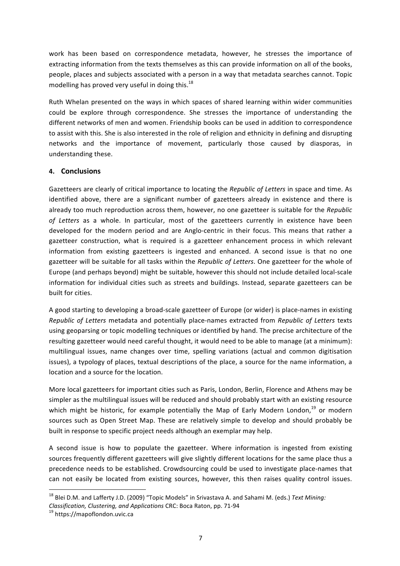work has been based on correspondence metadata, however, he stresses the importance of extracting information from the texts themselves as this can provide information on all of the books, people, places and subjects associated with a person in a way that metadata searches cannot. Topic modelling has proved very useful in doing this.<sup>18</sup>

Ruth Whelan presented on the ways in which spaces of shared learning within wider communities could be explore through correspondence. She stresses the importance of understanding the different networks of men and women. Friendship books can be used in addition to correspondence to assist with this. She is also interested in the role of religion and ethnicity in defining and disrupting networks and the importance of movement, particularly those caused by diasporas, in understanding these.

# **4. Conclusions**

Gazetteers are clearly of critical importance to locating the *Republic of Letters* in space and time. As identified above, there are a significant number of gazetteers already in existence and there is already too much reproduction across them, however, no one gazetteer is suitable for the *Republic* of Letters as a whole. In particular, most of the gazetteers currently in existence have been developed for the modern period and are Anglo-centric in their focus. This means that rather a gazetteer construction, what is required is a gazetteer enhancement process in which relevant information from existing gazetteers is ingested and enhanced. A second issue is that no one gazetteer will be suitable for all tasks within the *Republic of Letters*. One gazetteer for the whole of Europe (and perhaps beyond) might be suitable, however this should not include detailed local-scale information for individual cities such as streets and buildings. Instead, separate gazetteers can be built for cities.

A good starting to developing a broad-scale gazetteer of Europe (or wider) is place-names in existing *Republic of Letters* metadata and potentially place-names extracted from *Republic of Letters* texts using geoparsing or topic modelling techniques or identified by hand. The precise architecture of the resulting gazetteer would need careful thought, it would need to be able to manage (at a minimum): multilingual issues, name changes over time, spelling variations (actual and common digitisation issues), a typology of places, textual descriptions of the place, a source for the name information, a location and a source for the location.

More local gazetteers for important cities such as Paris, London, Berlin, Florence and Athens may be simpler as the multilingual issues will be reduced and should probably start with an existing resource which might be historic, for example potentially the Map of Early Modern London,<sup>19</sup> or modern sources such as Open Street Map. These are relatively simple to develop and should probably be built in response to specific project needs although an exemplar may help.

A second issue is how to populate the gazetteer. Where information is ingested from existing sources frequently different gazetteers will give slightly different locations for the same place thus a precedence needs to be established. Crowdsourcing could be used to investigate place-names that can not easily be located from existing sources, however, this then raises quality control issues.

<u> 1989 - Johann Barn, mars ann an t-Amhain an t-Amhain an t-Amhain an t-Amhain an t-Amhain an t-Amhain an t-Amh</u>

<sup>&</sup>lt;sup>18</sup> Blei D.M. and Lafferty J.D. (2009) "Topic Models" in Srivastava A. and Sahami M. (eds.) Text Mining:

*Classification, Clustering, and Applications CRC*: Boca Raton, pp. 71-94 <sup>19</sup> https://mapoflondon.uvic.ca